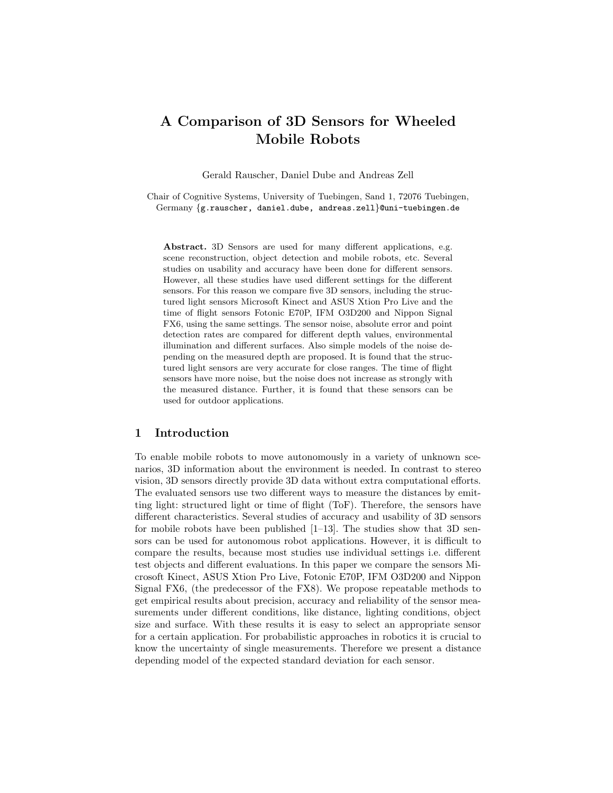# A Comparison of 3D Sensors for Wheeled Mobile Robots

Gerald Rauscher, Daniel Dube and Andreas Zell

Chair of Cognitive Systems, University of Tuebingen, Sand 1, 72076 Tuebingen, Germany {g.rauscher, daniel.dube, andreas.zell}@uni-tuebingen.de

Abstract. 3D Sensors are used for many different applications, e.g. scene reconstruction, object detection and mobile robots, etc. Several studies on usability and accuracy have been done for different sensors. However, all these studies have used different settings for the different sensors. For this reason we compare five 3D sensors, including the structured light sensors Microsoft Kinect and ASUS Xtion Pro Live and the time of flight sensors Fotonic E70P, IFM O3D200 and Nippon Signal FX6, using the same settings. The sensor noise, absolute error and point detection rates are compared for different depth values, environmental illumination and different surfaces. Also simple models of the noise depending on the measured depth are proposed. It is found that the structured light sensors are very accurate for close ranges. The time of flight sensors have more noise, but the noise does not increase as strongly with the measured distance. Further, it is found that these sensors can be used for outdoor applications.

## 1 Introduction

To enable mobile robots to move autonomously in a variety of unknown scenarios, 3D information about the environment is needed. In contrast to stereo vision, 3D sensors directly provide 3D data without extra computational efforts. The evaluated sensors use two different ways to measure the distances by emitting light: structured light or time of flight (ToF). Therefore, the sensors have different characteristics. Several studies of accuracy and usability of 3D sensors for mobile robots have been published [1–13]. The studies show that 3D sensors can be used for autonomous robot applications. However, it is difficult to compare the results, because most studies use individual settings i.e. different test objects and different evaluations. In this paper we compare the sensors Microsoft Kinect, ASUS Xtion Pro Live, Fotonic E70P, IFM O3D200 and Nippon Signal FX6, (the predecessor of the FX8). We propose repeatable methods to get empirical results about precision, accuracy and reliability of the sensor measurements under different conditions, like distance, lighting conditions, object size and surface. With these results it is easy to select an appropriate sensor for a certain application. For probabilistic approaches in robotics it is crucial to know the uncertainty of single measurements. Therefore we present a distance depending model of the expected standard deviation for each sensor.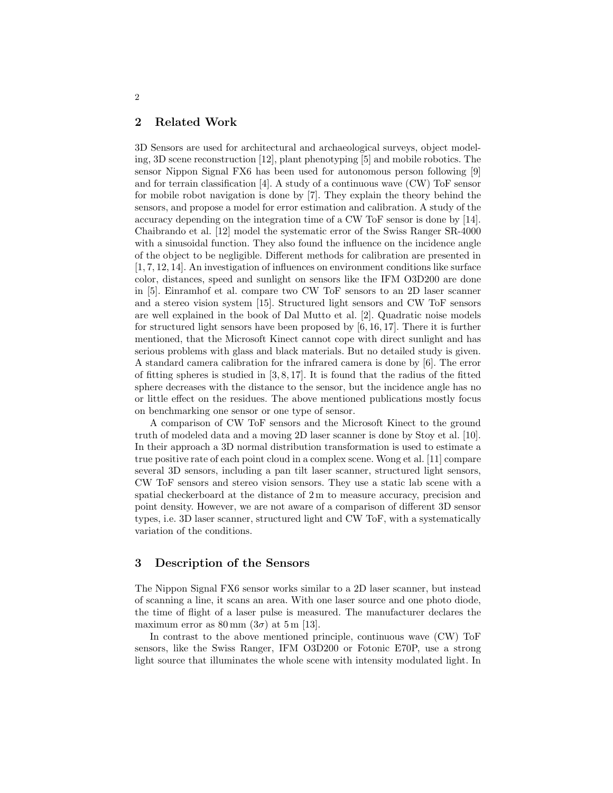# 2 Related Work

3D Sensors are used for architectural and archaeological surveys, object modeling, 3D scene reconstruction [12], plant phenotyping [5] and mobile robotics. The sensor Nippon Signal FX6 has been used for autonomous person following [9] and for terrain classification [4]. A study of a continuous wave (CW) ToF sensor for mobile robot navigation is done by [7]. They explain the theory behind the sensors, and propose a model for error estimation and calibration. A study of the accuracy depending on the integration time of a CW ToF sensor is done by [14]. Chaibrando et al. [12] model the systematic error of the Swiss Ranger SR-4000 with a sinusoidal function. They also found the influence on the incidence angle of the object to be negligible. Different methods for calibration are presented in [1, 7, 12, 14]. An investigation of influences on environment conditions like surface color, distances, speed and sunlight on sensors like the IFM O3D200 are done in [5]. Einramhof et al. compare two CW ToF sensors to an 2D laser scanner and a stereo vision system [15]. Structured light sensors and CW ToF sensors are well explained in the book of Dal Mutto et al. [2]. Quadratic noise models for structured light sensors have been proposed by [6, 16, 17]. There it is further mentioned, that the Microsoft Kinect cannot cope with direct sunlight and has serious problems with glass and black materials. But no detailed study is given. A standard camera calibration for the infrared camera is done by [6]. The error of fitting spheres is studied in  $[3, 8, 17]$ . It is found that the radius of the fitted sphere decreases with the distance to the sensor, but the incidence angle has no or little effect on the residues. The above mentioned publications mostly focus on benchmarking one sensor or one type of sensor.

A comparison of CW ToF sensors and the Microsoft Kinect to the ground truth of modeled data and a moving 2D laser scanner is done by Stoy et al. [10]. In their approach a 3D normal distribution transformation is used to estimate a true positive rate of each point cloud in a complex scene. Wong et al. [11] compare several 3D sensors, including a pan tilt laser scanner, structured light sensors, CW ToF sensors and stereo vision sensors. They use a static lab scene with a spatial checkerboard at the distance of 2 m to measure accuracy, precision and point density. However, we are not aware of a comparison of different 3D sensor types, i.e. 3D laser scanner, structured light and CW ToF, with a systematically variation of the conditions.

# 3 Description of the Sensors

The Nippon Signal FX6 sensor works similar to a 2D laser scanner, but instead of scanning a line, it scans an area. With one laser source and one photo diode, the time of flight of a laser pulse is measured. The manufacturer declares the maximum error as  $80 \text{ mm}$   $(3\sigma)$  at  $5 \text{ m}$  [13].

In contrast to the above mentioned principle, continuous wave (CW) ToF sensors, like the Swiss Ranger, IFM O3D200 or Fotonic E70P, use a strong light source that illuminates the whole scene with intensity modulated light. In

2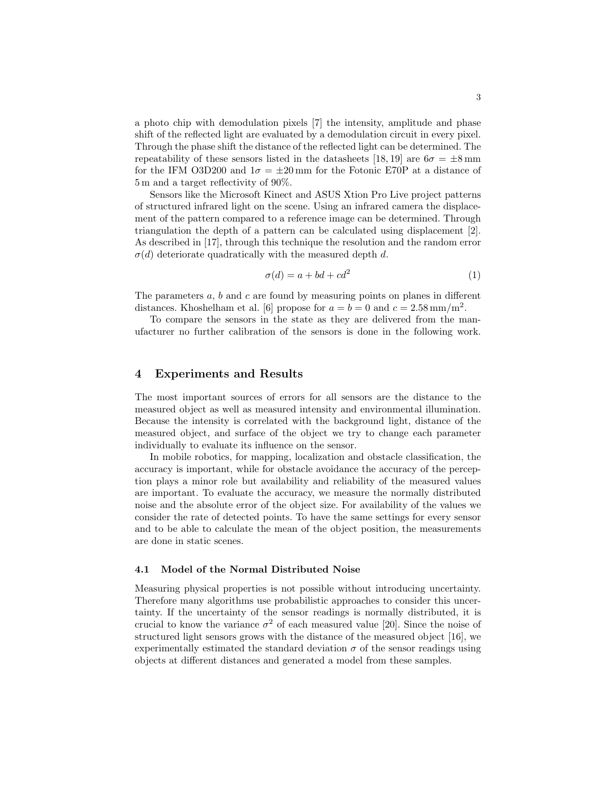a photo chip with demodulation pixels [7] the intensity, amplitude and phase shift of the reflected light are evaluated by a demodulation circuit in every pixel. Through the phase shift the distance of the reflected light can be determined. The repeatability of these sensors listed in the datasheets [18, 19] are  $6\sigma = \pm 8 \,\mathrm{mm}$ for the IFM O3D200 and  $1\sigma = \pm 20$  mm for the Fotonic E70P at a distance of 5 m and a target reflectivity of 90%.

Sensors like the Microsoft Kinect and ASUS Xtion Pro Live project patterns of structured infrared light on the scene. Using an infrared camera the displacement of the pattern compared to a reference image can be determined. Through triangulation the depth of a pattern can be calculated using displacement [2]. As described in [17], through this technique the resolution and the random error  $\sigma(d)$  deteriorate quadratically with the measured depth d.

$$
\sigma(d) = a + bd + cd^2 \tag{1}
$$

The parameters  $a, b$  and  $c$  are found by measuring points on planes in different distances. Khoshelham et al. [6] propose for  $a = b = 0$  and  $c = 2.58 \text{ mm/m}^2$ .

To compare the sensors in the state as they are delivered from the manufacturer no further calibration of the sensors is done in the following work.

## 4 Experiments and Results

The most important sources of errors for all sensors are the distance to the measured object as well as measured intensity and environmental illumination. Because the intensity is correlated with the background light, distance of the measured object, and surface of the object we try to change each parameter individually to evaluate its influence on the sensor.

In mobile robotics, for mapping, localization and obstacle classification, the accuracy is important, while for obstacle avoidance the accuracy of the perception plays a minor role but availability and reliability of the measured values are important. To evaluate the accuracy, we measure the normally distributed noise and the absolute error of the object size. For availability of the values we consider the rate of detected points. To have the same settings for every sensor and to be able to calculate the mean of the object position, the measurements are done in static scenes.

#### 4.1 Model of the Normal Distributed Noise

Measuring physical properties is not possible without introducing uncertainty. Therefore many algorithms use probabilistic approaches to consider this uncertainty. If the uncertainty of the sensor readings is normally distributed, it is crucial to know the variance  $\sigma^2$  of each measured value [20]. Since the noise of structured light sensors grows with the distance of the measured object [16], we experimentally estimated the standard deviation  $\sigma$  of the sensor readings using objects at different distances and generated a model from these samples.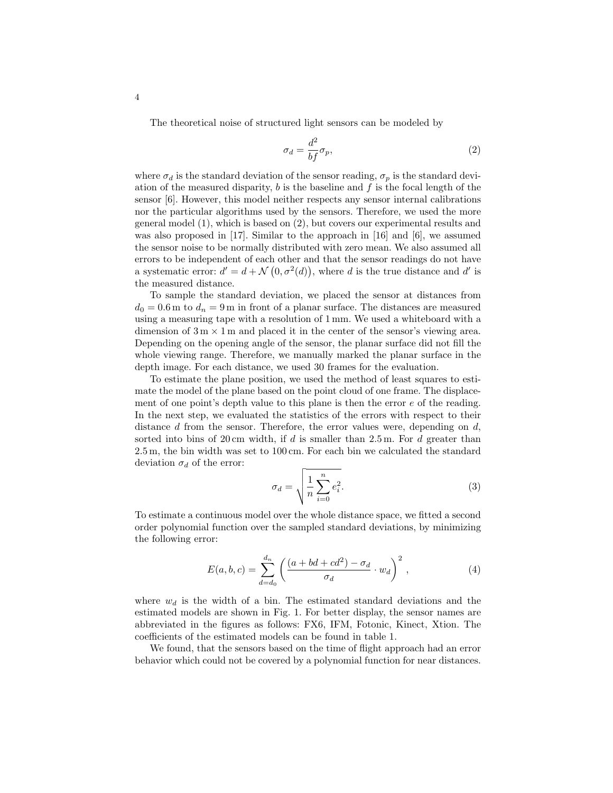The theoretical noise of structured light sensors can be modeled by

$$
\sigma_d = \frac{d^2}{bf} \sigma_p,\tag{2}
$$

where  $\sigma_d$  is the standard deviation of the sensor reading,  $\sigma_p$  is the standard deviation of the measured disparity,  $b$  is the baseline and  $f$  is the focal length of the sensor [6]. However, this model neither respects any sensor internal calibrations nor the particular algorithms used by the sensors. Therefore, we used the more general model (1), which is based on (2), but covers our experimental results and was also proposed in [17]. Similar to the approach in [16] and [6], we assumed the sensor noise to be normally distributed with zero mean. We also assumed all errors to be independent of each other and that the sensor readings do not have a systematic error:  $d' = d + \mathcal{N}(0, \sigma^2(d))$ , where d is the true distance and d' is the measured distance.

To sample the standard deviation, we placed the sensor at distances from  $d_0 = 0.6$  m to  $d_n = 9$  m in front of a planar surface. The distances are measured using a measuring tape with a resolution of 1 mm. We used a whiteboard with a dimension of  $3 \text{ m} \times 1 \text{ m}$  and placed it in the center of the sensor's viewing area. Depending on the opening angle of the sensor, the planar surface did not fill the whole viewing range. Therefore, we manually marked the planar surface in the depth image. For each distance, we used 30 frames for the evaluation.

To estimate the plane position, we used the method of least squares to estimate the model of the plane based on the point cloud of one frame. The displacement of one point's depth value to this plane is then the error  $e$  of the reading. In the next step, we evaluated the statistics of the errors with respect to their distance  $d$  from the sensor. Therefore, the error values were, depending on  $d$ , sorted into bins of 20 cm width, if d is smaller than  $2.5$  m. For d greater than 2.5 m, the bin width was set to 100 cm. For each bin we calculated the standard deviation  $\sigma_d$  of the error:

$$
\sigma_d = \sqrt{\frac{1}{n} \sum_{i=0}^{n} e_i^2}.
$$
\n(3)

To estimate a continuous model over the whole distance space, we fitted a second order polynomial function over the sampled standard deviations, by minimizing the following error:

$$
E(a,b,c) = \sum_{d=d_0}^{d_n} \left( \frac{(a+bd+cd^2)-\sigma_d}{\sigma_d} \cdot w_d \right)^2, \qquad (4)
$$

where  $w_d$  is the width of a bin. The estimated standard deviations and the estimated models are shown in Fig. 1. For better display, the sensor names are abbreviated in the figures as follows: FX6, IFM, Fotonic, Kinect, Xtion. The coefficients of the estimated models can be found in table 1.

We found, that the sensors based on the time of flight approach had an error behavior which could not be covered by a polynomial function for near distances.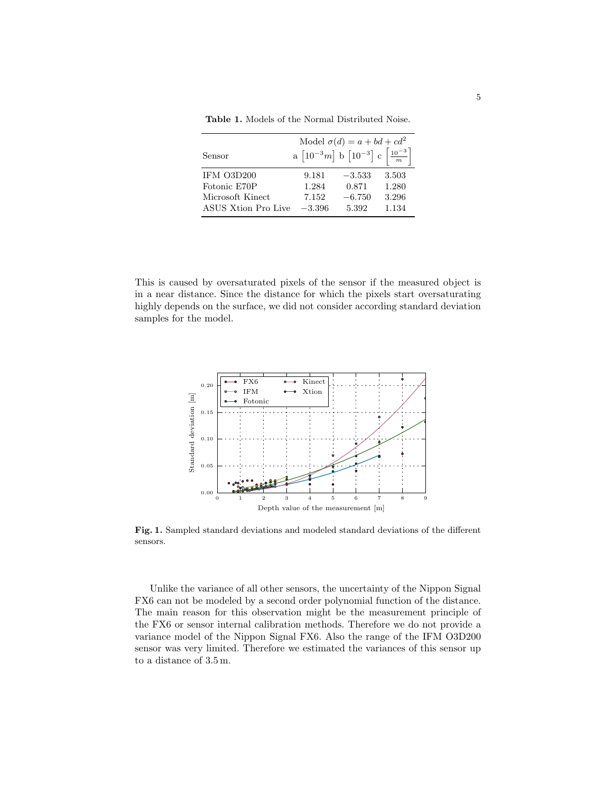|                     | Model $\sigma(d) = a + bd + cd^2$                                                     |          |       |  |  |
|---------------------|---------------------------------------------------------------------------------------|----------|-------|--|--|
| Sensor              | a $\left[10^{-3}m\right]$ b $\left[10^{-3}\right]$ c $\left[\frac{10^{-3}}{m}\right]$ |          |       |  |  |
| IFM O3D200          | 9.181                                                                                 | $-3.533$ | 3.503 |  |  |
| Fotonic E70P        | 1.284                                                                                 | 0.871    | 1.280 |  |  |
| Microsoft Kinect    | 7.152                                                                                 | $-6.750$ | 3.296 |  |  |
| ASUS Xtion Pro Live | $-3.396$                                                                              | 5.392    | 1.134 |  |  |

Table 1. Models of the Normal Distributed Noise.

This is caused by oversaturated pixels of the sensor if the measured object is in a near distance. Since the distance for which the pixels start oversaturating highly depends on the surface, we did not consider according standard deviation samples for the model.



Fig. 1. Sampled standard deviations and modeled standard deviations of the different sensors.

Unlike the variance of all other sensors, the uncertainty of the Nippon Signal FX6 can not be modeled by a second order polynomial function of the distance. The main reason for this observation might be the measurement principle of the FX6 or sensor internal calibration methods. Therefore we do not provide a variance model of the Nippon Signal FX6. Also the range of the IFM O3D200 sensor was very limited. Therefore we estimated the variances of this sensor up to a distance of 3.5 m.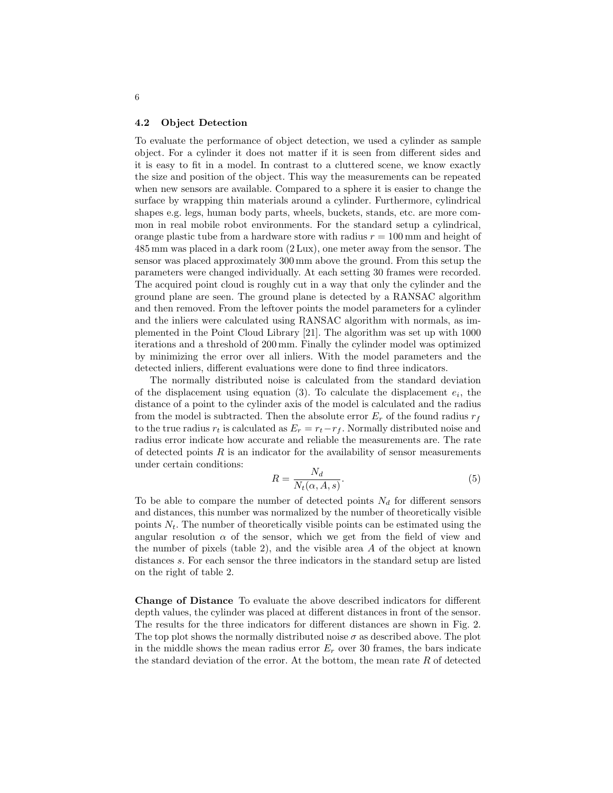#### 4.2 Object Detection

To evaluate the performance of object detection, we used a cylinder as sample object. For a cylinder it does not matter if it is seen from different sides and it is easy to fit in a model. In contrast to a cluttered scene, we know exactly the size and position of the object. This way the measurements can be repeated when new sensors are available. Compared to a sphere it is easier to change the surface by wrapping thin materials around a cylinder. Furthermore, cylindrical shapes e.g. legs, human body parts, wheels, buckets, stands, etc. are more common in real mobile robot environments. For the standard setup a cylindrical, orange plastic tube from a hardware store with radius  $r = 100$  mm and height of 485 mm was placed in a dark room (2 Lux), one meter away from the sensor. The sensor was placed approximately 300 mm above the ground. From this setup the parameters were changed individually. At each setting 30 frames were recorded. The acquired point cloud is roughly cut in a way that only the cylinder and the ground plane are seen. The ground plane is detected by a RANSAC algorithm and then removed. From the leftover points the model parameters for a cylinder and the inliers were calculated using RANSAC algorithm with normals, as implemented in the Point Cloud Library [21]. The algorithm was set up with 1000 iterations and a threshold of 200 mm. Finally the cylinder model was optimized by minimizing the error over all inliers. With the model parameters and the detected inliers, different evaluations were done to find three indicators.

The normally distributed noise is calculated from the standard deviation of the displacement using equation  $(3)$ . To calculate the displacement  $e_i$ , the distance of a point to the cylinder axis of the model is calculated and the radius from the model is subtracted. Then the absolute error  $E_r$  of the found radius  $r_f$ to the true radius  $r_t$  is calculated as  $E_r = r_t - r_f$ . Normally distributed noise and radius error indicate how accurate and reliable the measurements are. The rate of detected points  $R$  is an indicator for the availability of sensor measurements under certain conditions:

$$
R = \frac{N_d}{N_t(\alpha, A, s)}.\tag{5}
$$

To be able to compare the number of detected points  $N_d$  for different sensors and distances, this number was normalized by the number of theoretically visible points  $N_t$ . The number of theoretically visible points can be estimated using the angular resolution  $\alpha$  of the sensor, which we get from the field of view and the number of pixels (table 2), and the visible area  $A$  of the object at known distances s. For each sensor the three indicators in the standard setup are listed on the right of table 2.

Change of Distance To evaluate the above described indicators for different depth values, the cylinder was placed at different distances in front of the sensor. The results for the three indicators for different distances are shown in Fig. 2. The top plot shows the normally distributed noise  $\sigma$  as described above. The plot in the middle shows the mean radius error  $E_r$  over 30 frames, the bars indicate the standard deviation of the error. At the bottom, the mean rate  $R$  of detected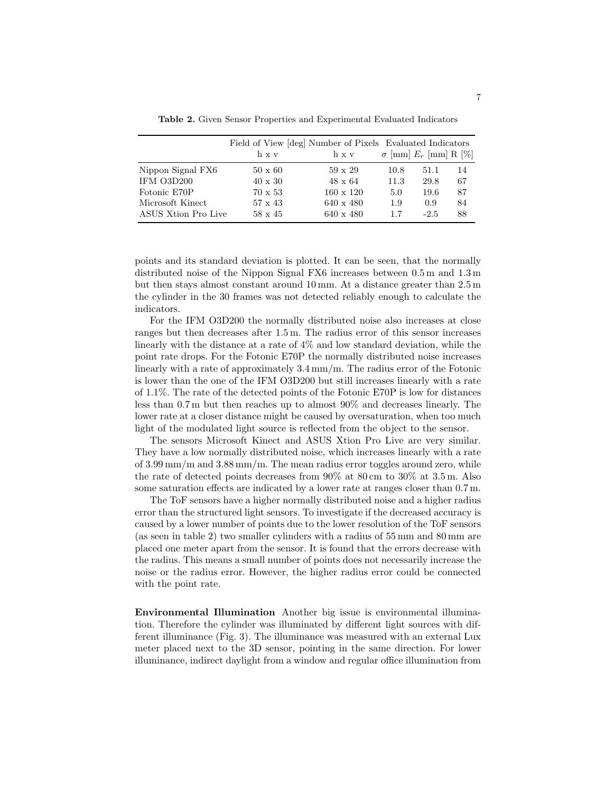Table 2. Given Sensor Properties and Experimental Evaluated Indicators

|                     | Field of View [deg] Number of Pixels Evaluated Indicators<br>h x y | h x v            |      | $\sigma$ [mm] $E_r$ [mm] R [%] |    |
|---------------------|--------------------------------------------------------------------|------------------|------|--------------------------------|----|
| Nippon Signal FX6   | $50 \times 60$                                                     | $59 \times 29$   | 10.8 | 51.1                           | 14 |
| IFM O3D200          | $40 \times 30$                                                     | $48 \times 64$   | 11.3 | 29.8                           | 67 |
| Fotonic E70P        | $70 \times 53$                                                     | $160 \times 120$ | 5.0  | 19.6                           | 87 |
| Microsoft Kinect    | $57 \times 43$                                                     | $640 \times 480$ | 1.9  | 0.9                            | 84 |
| ASUS Xtion Pro Live | $58 \times 45$                                                     | $640 \times 480$ | 1.7  | $-2.5$                         | 88 |

points and its standard deviation is plotted. It can be seen, that the normally distributed noise of the Nippon Signal FX6 increases between 0.5 m and 1.3 m but then stays almost constant around 10 mm. At a distance greater than 2.5 m the cylinder in the 30 frames was not detected reliably enough to calculate the indicators.

For the IFM O3D200 the normally distributed noise also increases at close ranges but then decreases after 1.5 m. The radius error of this sensor increases linearly with the distance at a rate of 4% and low standard deviation, while the point rate drops. For the Fotonic E70P the normally distributed noise increases linearly with a rate of approximately 3.4 mm/m. The radius error of the Fotonic is lower than the one of the IFM O3D200 but still increases linearly with a rate of 1.1%. The rate of the detected points of the Fotonic E70P is low for distances less than 0.7 m but then reaches up to almost 90% and decreases linearly. The lower rate at a closer distance might be caused by oversaturation, when too much light of the modulated light source is reflected from the object to the sensor.

The sensors Microsoft Kinect and ASUS Xtion Pro Live are very similar. They have a low normally distributed noise, which increases linearly with a rate of 3.99 mm/m and 3.88 mm/m. The mean radius error toggles around zero, while the rate of detected points decreases from 90% at 80 cm to 30% at 3.5 m. Also some saturation effects are indicated by a lower rate at ranges closer than 0.7 m.

The ToF sensors have a higher normally distributed noise and a higher radius error than the structured light sensors. To investigate if the decreased accuracy is caused by a lower number of points due to the lower resolution of the ToF sensors (as seen in table 2) two smaller cylinders with a radius of 55 mm and 80 mm are placed one meter apart from the sensor. It is found that the errors decrease with the radius. This means a small number of points does not necessarily increase the noise or the radius error. However, the higher radius error could be connected with the point rate.

Environmental Illumination Another big issue is environmental illumination. Therefore the cylinder was illuminated by different light sources with different illuminance (Fig. 3). The illuminance was measured with an external Lux meter placed next to the 3D sensor, pointing in the same direction. For lower illuminance, indirect daylight from a window and regular office illumination from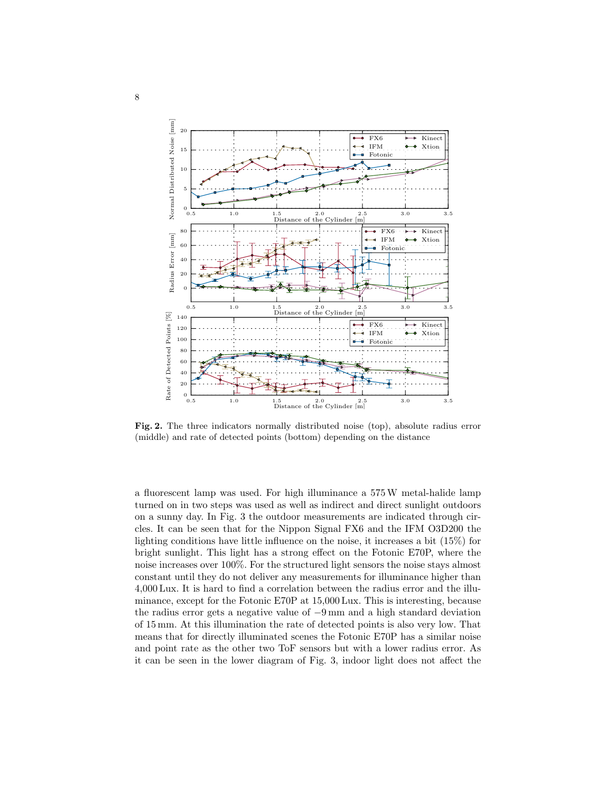

Fig. 2. The three indicators normally distributed noise (top), absolute radius error (middle) and rate of detected points (bottom) depending on the distance

a fluorescent lamp was used. For high illuminance a 575W metal-halide lamp turned on in two steps was used as well as indirect and direct sunlight outdoors on a sunny day. In Fig. 3 the outdoor measurements are indicated through circles. It can be seen that for the Nippon Signal FX6 and the IFM O3D200 the lighting conditions have little influence on the noise, it increases a bit (15%) for bright sunlight. This light has a strong effect on the Fotonic E70P, where the noise increases over 100%. For the structured light sensors the noise stays almost constant until they do not deliver any measurements for illuminance higher than 4,000 Lux. It is hard to find a correlation between the radius error and the illuminance, except for the Fotonic E70P at 15,000 Lux. This is interesting, because the radius error gets a negative value of −9 mm and a high standard deviation of 15 mm. At this illumination the rate of detected points is also very low. That means that for directly illuminated scenes the Fotonic E70P has a similar noise and point rate as the other two ToF sensors but with a lower radius error. As it can be seen in the lower diagram of Fig. 3, indoor light does not affect the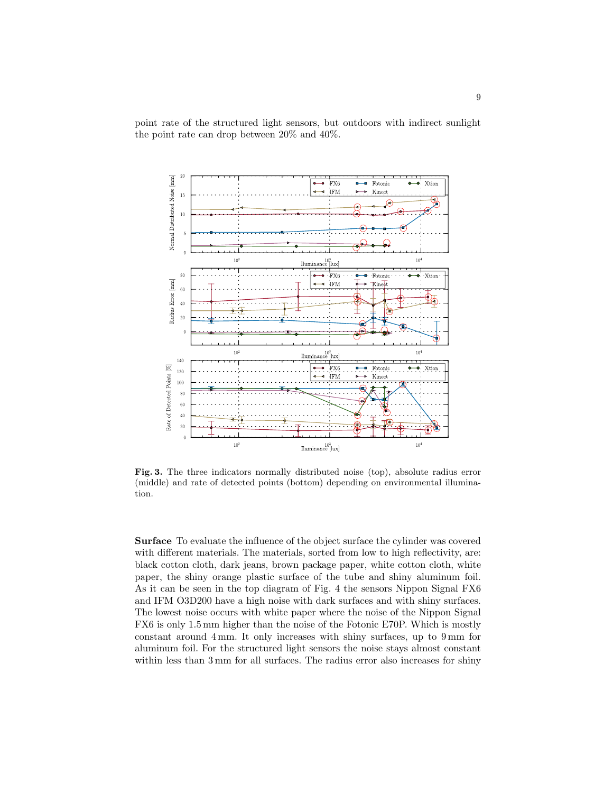point rate of the structured light sensors, but outdoors with indirect sunlight the point rate can drop between 20% and 40%.



Fig. 3. The three indicators normally distributed noise (top), absolute radius error (middle) and rate of detected points (bottom) depending on environmental illumination.

Surface To evaluate the influence of the object surface the cylinder was covered with different materials. The materials, sorted from low to high reflectivity, are: black cotton cloth, dark jeans, brown package paper, white cotton cloth, white paper, the shiny orange plastic surface of the tube and shiny aluminum foil. As it can be seen in the top diagram of Fig. 4 the sensors Nippon Signal FX6 and IFM O3D200 have a high noise with dark surfaces and with shiny surfaces. The lowest noise occurs with white paper where the noise of the Nippon Signal FX6 is only 1.5 mm higher than the noise of the Fotonic E70P. Which is mostly constant around 4 mm. It only increases with shiny surfaces, up to 9 mm for aluminum foil. For the structured light sensors the noise stays almost constant within less than  $3 \text{ mm}$  for all surfaces. The radius error also increases for shiny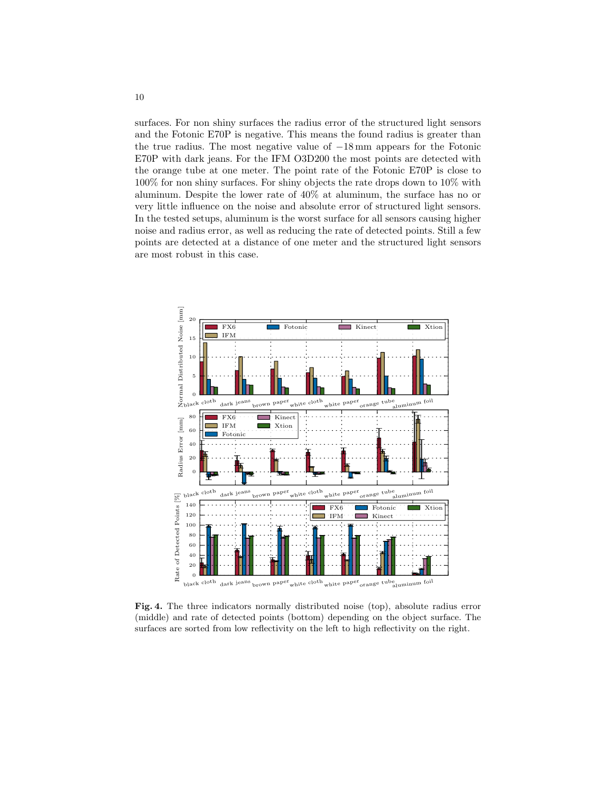surfaces. For non shiny surfaces the radius error of the structured light sensors and the Fotonic E70P is negative. This means the found radius is greater than the true radius. The most negative value of −18 mm appears for the Fotonic E70P with dark jeans. For the IFM O3D200 the most points are detected with the orange tube at one meter. The point rate of the Fotonic E70P is close to 100% for non shiny surfaces. For shiny objects the rate drops down to 10% with aluminum. Despite the lower rate of 40% at aluminum, the surface has no or very little influence on the noise and absolute error of structured light sensors. In the tested setups, aluminum is the worst surface for all sensors causing higher noise and radius error, as well as reducing the rate of detected points. Still a few points are detected at a distance of one meter and the structured light sensors are most robust in this case.



Fig. 4. The three indicators normally distributed noise (top), absolute radius error (middle) and rate of detected points (bottom) depending on the object surface. The surfaces are sorted from low reflectivity on the left to high reflectivity on the right.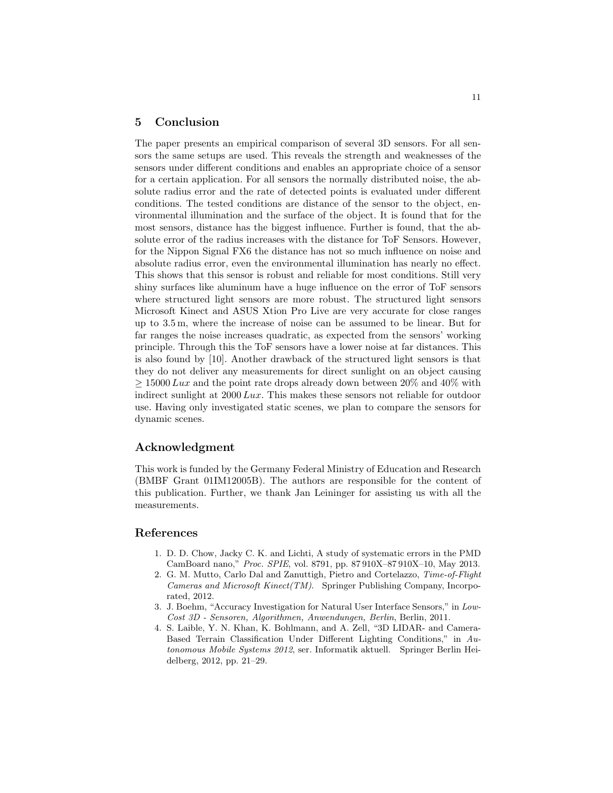## 5 Conclusion

The paper presents an empirical comparison of several 3D sensors. For all sensors the same setups are used. This reveals the strength and weaknesses of the sensors under different conditions and enables an appropriate choice of a sensor for a certain application. For all sensors the normally distributed noise, the absolute radius error and the rate of detected points is evaluated under different conditions. The tested conditions are distance of the sensor to the object, environmental illumination and the surface of the object. It is found that for the most sensors, distance has the biggest influence. Further is found, that the absolute error of the radius increases with the distance for ToF Sensors. However, for the Nippon Signal FX6 the distance has not so much influence on noise and absolute radius error, even the environmental illumination has nearly no effect. This shows that this sensor is robust and reliable for most conditions. Still very shiny surfaces like aluminum have a huge influence on the error of ToF sensors where structured light sensors are more robust. The structured light sensors Microsoft Kinect and ASUS Xtion Pro Live are very accurate for close ranges up to 3.5 m, where the increase of noise can be assumed to be linear. But for far ranges the noise increases quadratic, as expected from the sensors' working principle. Through this the ToF sensors have a lower noise at far distances. This is also found by [10]. Another drawback of the structured light sensors is that they do not deliver any measurements for direct sunlight on an object causing  $> 15000$  Lux and the point rate drops already down between 20% and 40% with indirect sunlight at 2000 Lux. This makes these sensors not reliable for outdoor use. Having only investigated static scenes, we plan to compare the sensors for dynamic scenes.

# Acknowledgment

This work is funded by the Germany Federal Ministry of Education and Research (BMBF Grant 01IM12005B). The authors are responsible for the content of this publication. Further, we thank Jan Leininger for assisting us with all the measurements.

# References

- 1. D. D. Chow, Jacky C. K. and Lichti, A study of systematic errors in the PMD CamBoard nano," Proc. SPIE, vol. 8791, pp. 87 910X–87 910X–10, May 2013.
- 2. G. M. Mutto, Carlo Dal and Zanuttigh, Pietro and Cortelazzo, Time-of-Flight Cameras and Microsoft Kinect(TM). Springer Publishing Company, Incorporated, 2012.
- 3. J. Boehm, "Accuracy Investigation for Natural User Interface Sensors," in Low-Cost 3D - Sensoren, Algorithmen, Anwendungen, Berlin, Berlin, 2011.
- 4. S. Laible, Y. N. Khan, K. Bohlmann, and A. Zell, "3D LIDAR- and Camera-Based Terrain Classification Under Different Lighting Conditions," in Autonomous Mobile Systems 2012, ser. Informatik aktuell. Springer Berlin Heidelberg, 2012, pp. 21–29.